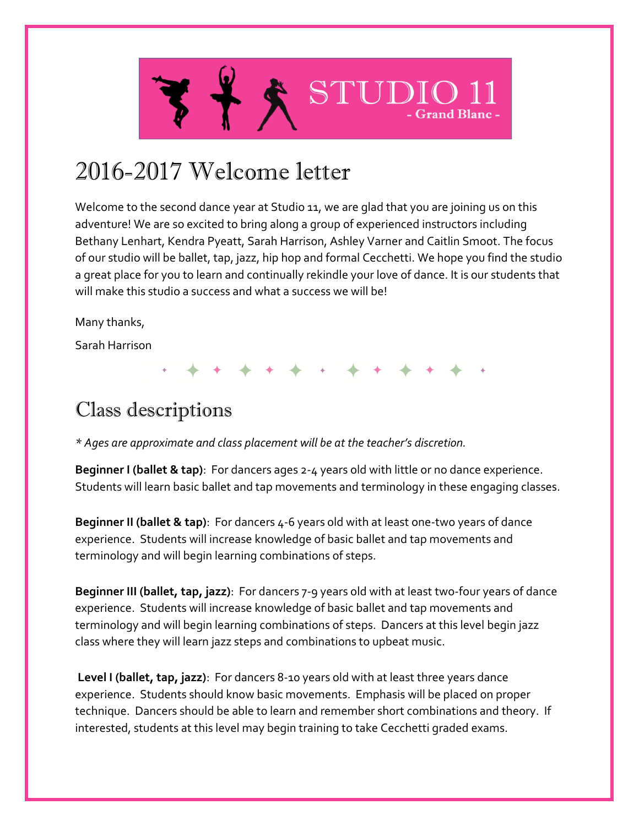

# 2016-2017 Welcome letter

Welcome to the second dance year at Studio 11, we are glad that you are joining us on this adventure! We are so excited to bring along a group of experienced instructors including Bethany Lenhart, Kendra Pyeatt, Sarah Harrison, Ashley Varner and Caitlin Smoot. The focus of our studio will be ballet, tap, jazz, hip hop and formal Cecchetti. We hope you find the studio a great place for you to learn and continually rekindle your love of dance. It is our students that will make this studio a success and what a success we will be!

Many thanks,

Sarah Harrison

# Class descriptions

*\* Ages are approximate and class placement will be at the teacher's discretion.*

**Beginner I (ballet & tap)**: For dancers ages 2-4 years old with little or no dance experience. Students will learn basic ballet and tap movements and terminology in these engaging classes.

**Beginner II (ballet & tap)**: For dancers 4-6 years old with at least one-two years of dance experience. Students will increase knowledge of basic ballet and tap movements and terminology and will begin learning combinations of steps.

**Beginner III (ballet, tap, jazz)**: For dancers 7-9 years old with at least two-four years of dance experience. Students will increase knowledge of basic ballet and tap movements and terminology and will begin learning combinations of steps. Dancers at this level begin jazz class where they will learn jazz steps and combinations to upbeat music.

**Level I (ballet, tap, jazz)**: For dancers 8-10 years old with at least three years dance experience. Students should know basic movements. Emphasis will be placed on proper technique. Dancers should be able to learn and remember short combinations and theory. If interested, students at this level may begin training to take Cecchetti graded exams.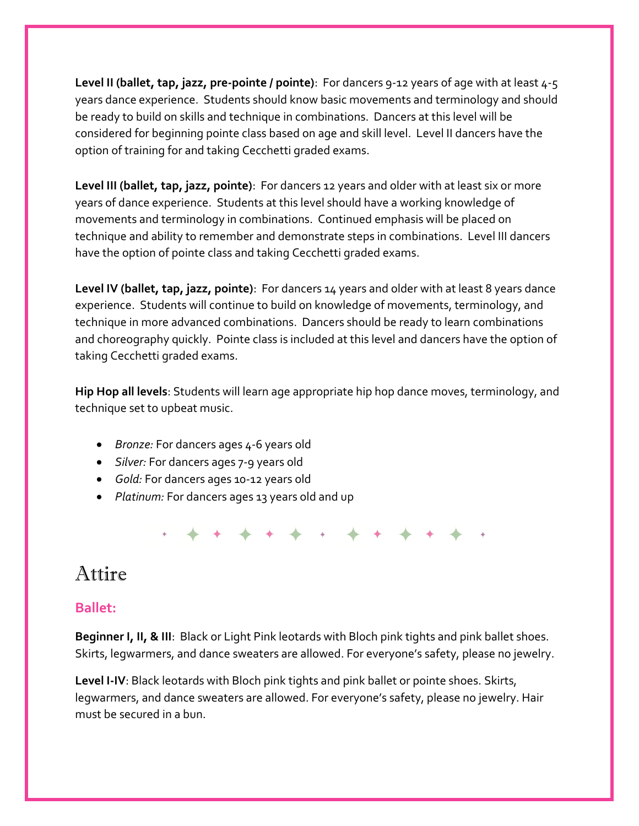**Level II (ballet, tap, jazz, pre-pointe / pointe)**: For dancers 9-12 years of age with at least 4-5 years dance experience. Students should know basic movements and terminology and should be ready to build on skills and technique in combinations. Dancers at this level will be considered for beginning pointe class based on age and skill level. Level II dancers have the option of training for and taking Cecchetti graded exams.

**Level III (ballet, tap, jazz, pointe)**: For dancers 12 years and older with at least six or more years of dance experience. Students at this level should have a working knowledge of movements and terminology in combinations. Continued emphasis will be placed on technique and ability to remember and demonstrate steps in combinations. Level III dancers have the option of pointe class and taking Cecchetti graded exams.

**Level IV (ballet, tap, jazz, pointe)**: For dancers 14 years and older with at least 8 years dance experience. Students will continue to build on knowledge of movements, terminology, and technique in more advanced combinations. Dancers should be ready to learn combinations and choreography quickly. Pointe class is included at this level and dancers have the option of taking Cecchetti graded exams.

**Hip Hop all levels**: Students will learn age appropriate hip hop dance moves, terminology, and technique set to upbeat music.

- *Bronze:* For dancers ages 4-6 years old
- *Silver:* For dancers ages 7-9 years old
- *Gold:* For dancers ages 10-12 years old
- *Platinum:* For dancers ages 13 years old and up

## Attire

#### **Ballet:**

**Beginner I, II, & III**: Black or Light Pink leotards with Bloch pink tights and pink ballet shoes. Skirts, legwarmers, and dance sweaters are allowed. For everyone's safety, please no jewelry.

**Level I-IV**: Black leotards with Bloch pink tights and pink ballet or pointe shoes. Skirts, legwarmers, and dance sweaters are allowed. For everyone's safety, please no jewelry. Hair must be secured in a bun.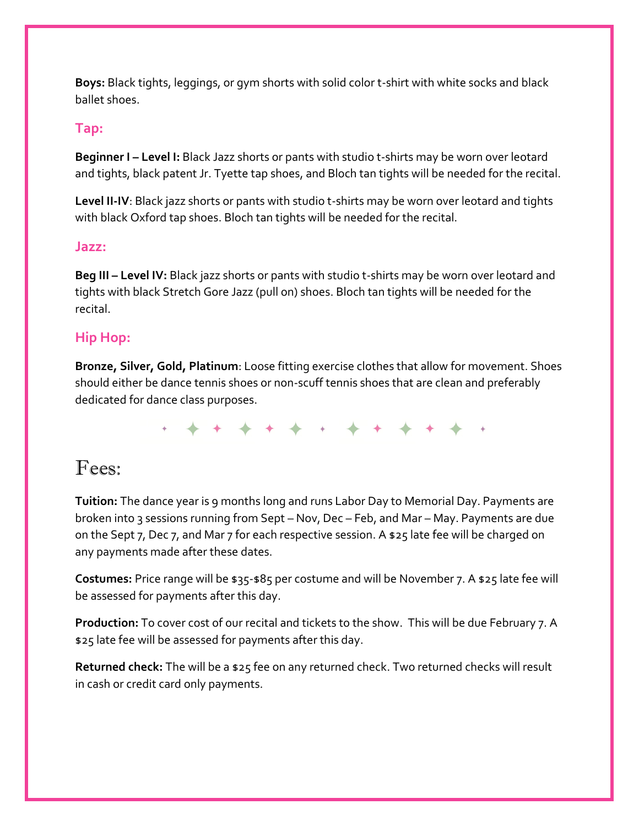**Boys:** Black tights, leggings, or gym shorts with solid color t-shirt with white socks and black ballet shoes.

#### **Tap:**

**Beginner I – Level I:** Black Jazz shorts or pants with studio t-shirts may be worn over leotard and tights, black patent Jr. Tyette tap shoes, and Bloch tan tights will be needed for the recital.

**Level II-IV**: Black jazz shorts or pants with studio t-shirts may be worn over leotard and tights with black Oxford tap shoes. Bloch tan tights will be needed for the recital.

#### **Jazz:**

**Beg III – Level IV:** Black jazz shorts or pants with studio t-shirts may be worn over leotard and tights with black Stretch Gore Jazz (pull on) shoes. Bloch tan tights will be needed for the recital.

### **Hip Hop:**

**Bronze, Silver, Gold, Platinum**: Loose fitting exercise clothes that allow for movement. Shoes should either be dance tennis shoes or non-scuff tennis shoes that are clean and preferably dedicated for dance class purposes.

## Fees:

**Tuition:** The dance year is 9 months long and runs Labor Day to Memorial Day. Payments are broken into 3 sessions running from Sept – Nov, Dec – Feb, and Mar – May. Payments are due on the Sept 7, Dec 7, and Mar 7 for each respective session. A \$25 late fee will be charged on any payments made after these dates.

**Costumes:** Price range will be \$35-\$85 per costume and will be November 7. A \$25 late fee will be assessed for payments after this day.

**Production:** To cover cost of our recital and tickets to the show. This will be due February 7. A \$25 late fee will be assessed for payments after this day.

**Returned check:** The will be a \$25 fee on any returned check. Two returned checks will result in cash or credit card only payments.